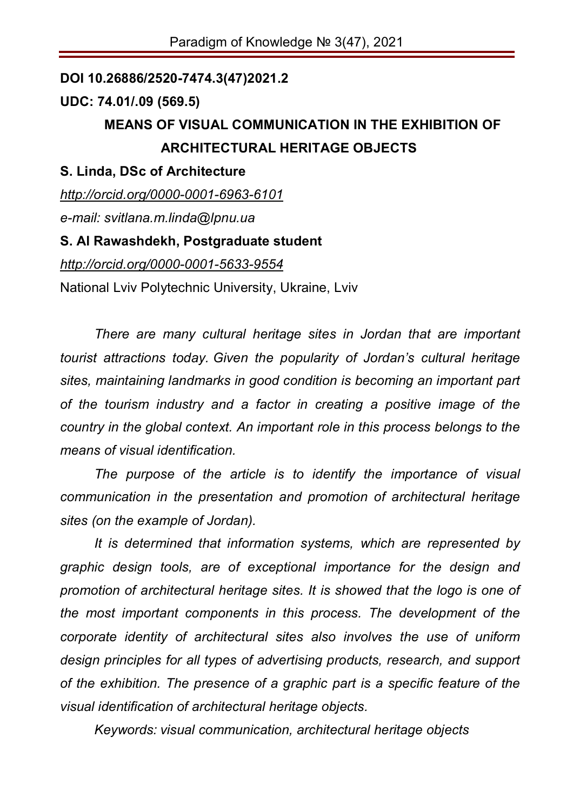## **DOI 10.26886/2520-7474.3(47)2021.2**

## **UDC: 74.01/.09 (569.5)**

# **MEANS OF VISUAL COMMUNICATION IN THE EXHIBITION OF ARCHITECTURAL HERITAGE OBJECTS**

## **S. Linda, DSc of Architecture**

*http://orcid.org/0000-0001-6963-6101*

*e-mail: svitlana.m.linda@lpnu.ua*

## **S. Al Rawashdekh, Postgraduate student**

*http://orcid.org/0000-0001-5633-9554*

National Lviv Polytechnic University, Ukraine, Lviv

*There are many cultural heritage sites in Jordan that are important tourist attractions today. Given the popularity of Jordan's cultural heritage sites, maintaining landmarks in good condition is becoming an important part of the tourism industry and a factor in creating a positive image of the country in the global context. An important role in this process belongs to the means of visual identification.*

*The purpose of the article is to identify the importance of visual communication in the presentation and promotion of architectural heritage sites (on the example of Jordan).*

*It is determined that information systems, which are represented by graphic design tools, are of exceptional importance for the design and promotion of architectural heritage sites. It is showed that the logo is one of the most important components in this process. The development of the corporate identity of architectural sites also involves the use of uniform design principles for all types of advertising products, research, and support of the exhibition. The presence of a graphic part is a specific feature of the visual identification of architectural heritage objects.*

*Kеуwоrds: visual communication, architectural heritage objects*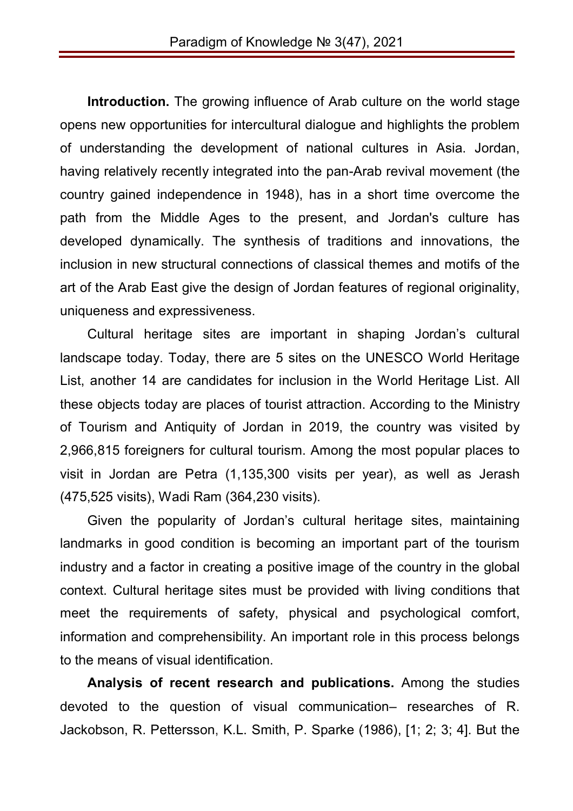**Introduction.** The growing influence of Arab culture on the world stage opens new opportunities for intercultural dialogue and highlights the problem of understanding the development of national cultures in Asia. Jordan, having relatively recently integrated into the pan-Arab revival movement (the country gained independence in 1948), has in a short time overcome the path from the Middle Ages to the present, and Jordan's culture has developed dynamically. The synthesis of traditions and innovations, the inclusion in new structural connections of classical themes and motifs of the art of the Arab East give the design of Jordan features of regional originality, uniqueness and expressiveness.

Cultural heritage sites are important in shaping Jordan's cultural landscape today. Today, there are 5 sites on the UNESCO World Heritage List, another 14 are candidates for inclusion in the World Heritage List. All these objects today are places of tourist attraction. According to the Ministry of Tourism and Antiquity of Jordan in 2019, the country was visited by 2,966,815 foreigners for cultural tourism. Among the most popular places to visit in Jordan are Petra (1,135,300 visits per year), as well as Jerash (475,525 visits), Wadi Ram (364,230 visits).

Given the popularity of Jordan's cultural heritage sites, maintaining landmarks in good condition is becoming an important part of the tourism industry and a factor in creating a positive image of the country in the global context. Cultural heritage sites must be provided with living conditions that meet the requirements of safety, physical and psychological comfort, information and comprehensibility. An important role in this process belongs to the means of visual identification.

**Analysis of recent research and publications.** Among the studies devoted to the question of visual communication– researches of R. Jackobson, R. Pettersson, K.L. Smith, P. Sparke (1986), [1; 2; 3; 4]. But the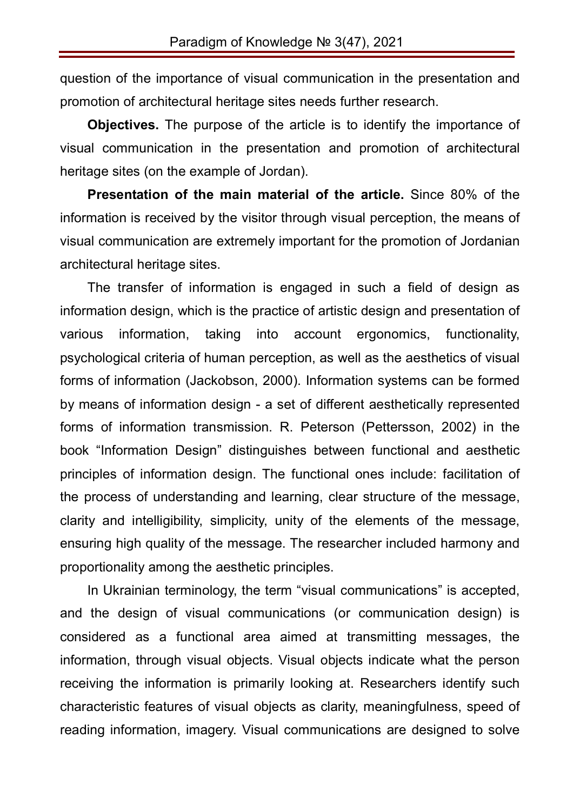question of the importance of visual communication in the presentation and promotion of architectural heritage sites needs further research.

**Objectives.** The purpose of the article is to identify the importance of visual communication in the presentation and promotion of architectural heritage sites (on the example of Jordan).

**Presentation of the main material of the article.** Since 80% of the information is received by the visitor through visual perception, the means of visual communication are extremely important for the promotion of Jordanian architectural heritage sites.

The transfer of information is engaged in such a field of design as information design, which is the practice of artistic design and presentation of various information, taking into account ergonomics, functionality, psychological criteria of human perception, as well as the aesthetics of visual forms of information (Jackobson, 2000). Information systems can be formed by means of information design - a set of different aesthetically represented forms of information transmission. R. Peterson (Pettersson, 2002) in the book "Information Design" distinguishes between functional and aesthetic principles of information design. The functional ones include: facilitation of the process of understanding and learning, clear structure of the message, clarity and intelligibility, simplicity, unity of the elements of the message, ensuring high quality of the message. The researcher included harmony and proportionality among the aesthetic principles.

In Ukrainian terminology, the term "visual communications" is accepted, and the design of visual communications (or communication design) is considered as a functional area aimed at transmitting messages, the information, through visual objects. Visual objects indicate what the person receiving the information is primarily looking at. Researchers identify such characteristic features of visual objects as clarity, meaningfulness, speed of reading information, imagery. Visual communications are designed to solve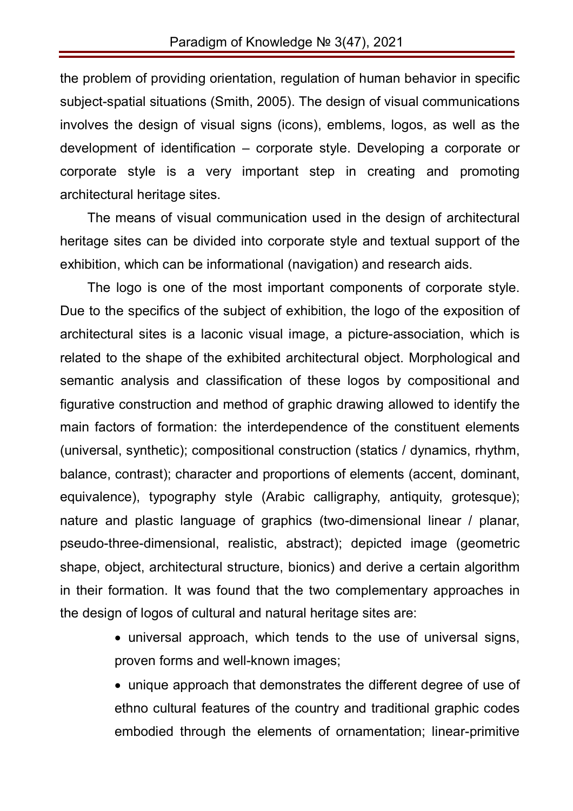the problem of providing orientation, regulation of human behavior in specific subject-spatial situations (Smith, 2005). The design of visual communications involves the design of visual signs (icons), emblems, logos, as well as the development of identification – corporate style. Developing a corporate or corporate style is a very important step in creating and promoting architectural heritage sites.

The means of visual communication used in the design of architectural heritage sites can be divided into corporate style and textual support of the exhibition, which can be informational (navigation) and research aids.

The logo is one of the most important components of corporate style. Due to the specifics of the subject of exhibition, the logo of the exposition of architectural sites is a laconic visual image, a picture-association, which is related to the shape of the exhibited architectural object. Morphological and semantic analysis and classification of these logos by compositional and figurative construction and method of graphic drawing allowed to identify the main factors of formation: the interdependence of the constituent elements (universal, synthetic); compositional construction (statics / dynamics, rhythm, balance, contrast); character and proportions of elements (accent, dominant, equivalence), typography style (Arabic calligraphy, antiquity, grotesque); nature and plastic language of graphics (two-dimensional linear / planar, pseudo-three-dimensional, realistic, abstract); depicted image (geometric shape, object, architectural structure, bionics) and derive a certain algorithm in their formation. It was found that the two complementary approaches in the design of logos of cultural and natural heritage sites are:

> universal approach, which tends to the use of universal signs, proven forms and well-known images;

> unique approach that demonstrates the different degree of use of ethno cultural features of the country and traditional graphic codes embodied through the elements of ornamentation; linear-primitive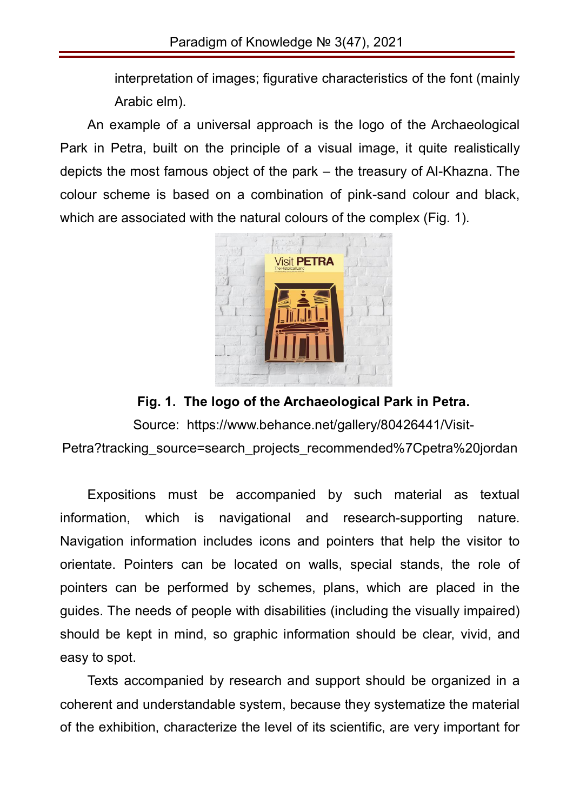interpretation of images; figurative characteristics of the font (mainly Arabic elm).

An example of a universal approach is the logo of the Archaeological Park in Petra, built on the principle of a visual image, it quite realistically depicts the most famous object of the park – the treasury of Al-Khazna. The colour scheme is based on a combination of pink-sand colour and black, which are associated with the natural colours of the complex (Fig. 1).



**Fig. 1. The logo of the Archaeological Park in Petra.**

Source: https://www.behance.net/gallery/80426441/Visit-Petra?tracking\_source=search\_projects\_recommended%7Cpetra%20jordan

Expositions must be accompanied by such material as textual information, which is navigational and research-supporting nature. Navigation information includes icons and pointers that help the visitor to orientate. Pointers can be located on walls, special stands, the role of pointers can be performed by schemes, plans, which are placed in the guides. The needs of people with disabilities (including the visually impaired) should be kept in mind, so graphic information should be clear, vivid, and easy to spot.

Texts accompanied by research and support should be organized in a coherent and understandable system, because they systematize the material of the exhibition, characterize the level of its scientific, are very important for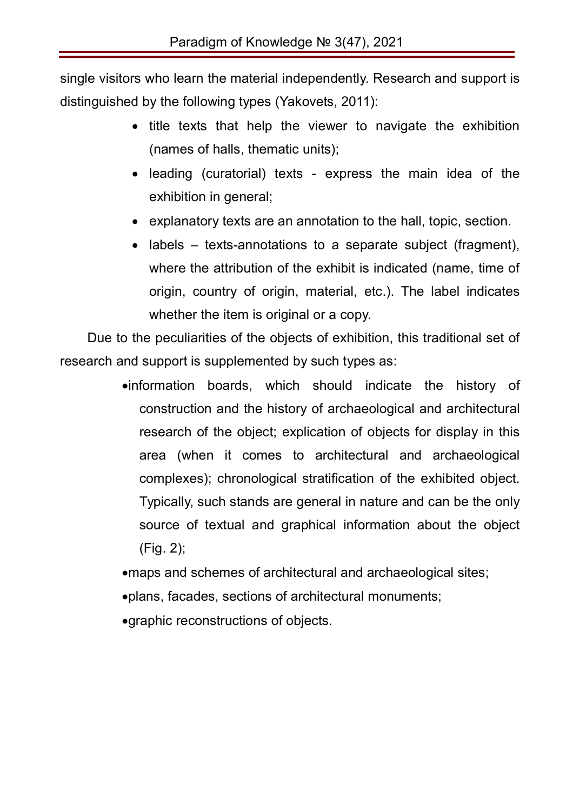single visitors who learn the material independently. Research and support is distinguished by the following types (Yakovets, 2011):

- title texts that help the viewer to navigate the exhibition (names of halls, thematic units);
- leading (curatorial) texts express the main idea of the exhibition in general;
- explanatory texts are an annotation to the hall, topic, section.
- $\bullet$  labels texts-annotations to a separate subject (fragment), where the attribution of the exhibit is indicated (name, time of origin, country of origin, material, etc.). The label indicates whether the item is original or a copy.

Due to the peculiarities of the objects of exhibition, this traditional set of research and support is supplemented by such types as:

> information boards, which should indicate the history of construction and the history of archaeological and architectural research of the object; explication of objects for display in this area (when it comes to architectural and archaeological complexes); chronological stratification of the exhibited object. Typically, such stands are general in nature and can be the only source of textual and graphical information about the object (Fig. 2);

maps and schemes of architectural and archaeological sites;

plans, facades, sections of architectural monuments;

graphic reconstructions of objects.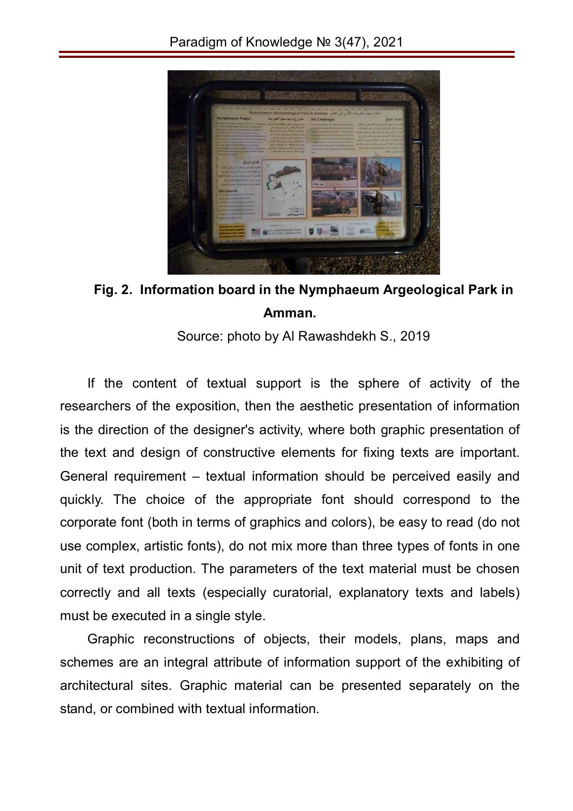

**Fig. 2. Information board in the Nymphaeum Argeological Park in Amman.**

Source: photo by Al Rawashdekh S., 2019

If the content of textual support is the sphere of activity of the researchers of the exposition, then the aesthetic presentation of information is the direction of the designer's activity, where both graphic presentation of the text and design of constructive elements for fixing texts are important. General requirement – textual information should be perceived easily and quickly. The choice of the appropriate font should correspond to the corporate font (both in terms of graphics and colors), be easy to read (do not use complex, artistic fonts), do not mix more than three types of fonts in one unit of text production. The parameters of the text material must be chosen correctly and all texts (especially curatorial, explanatory texts and labels) must be executed in a single style.

Graphic reconstructions of objects, their models, plans, maps and schemes are an integral attribute of information support of the exhibiting of architectural sites. Graphic material can be presented separately on the stand, or combined with textual information.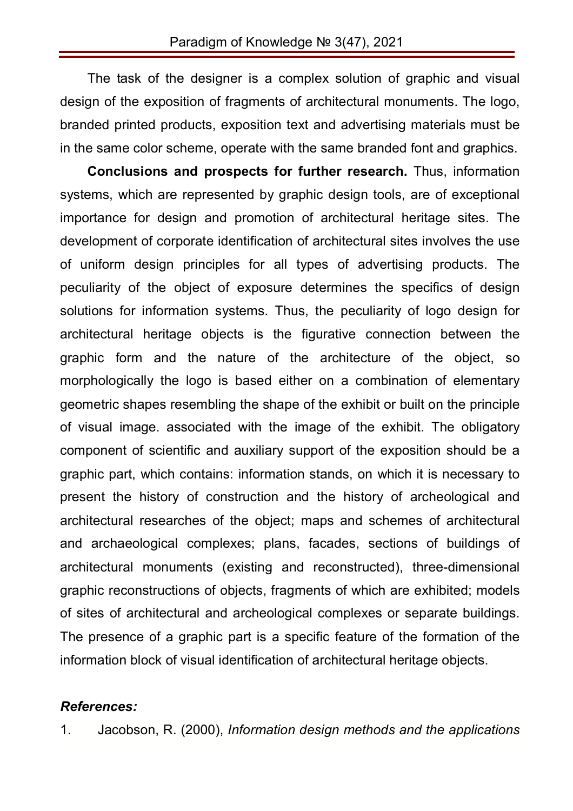The task of the designer is a complex solution of graphic and visual design of the exposition of fragments of architectural monuments. The logo, branded printed products, exposition text and advertising materials must be in the same color scheme, operate with the same branded font and graphics.

**Conclusions and prospects for further research.** Thus, information systems, which are represented by graphic design tools, are of exceptional importance for design and promotion of architectural heritage sites. The development of corporate identification of architectural sites involves the use of uniform design principles for all types of advertising products. The peculiarity of the object of exposure determines the specifics of design solutions for information systems. Thus, the peculiarity of logo design for architectural heritage objects is the figurative connection between the graphic form and the nature of the architecture of the object, so morphologically the logo is based either on a combination of elementary geometric shapes resembling the shape of the exhibit or built on the principle of visual image. associated with the image of the exhibit. The obligatory component of scientific and auxiliary support of the exposition should be a graphic part, which contains: information stands, on which it is necessary to present the history of construction and the history of archeological and architectural researches of the object; maps and schemes of architectural and archaeological complexes; plans, facades, sections of buildings of architectural monuments (existing and reconstructed), three-dimensional graphic reconstructions of objects, fragments of which are exhibited; models of sites of architectural and archeological complexes or separate buildings. The presence of a graphic part is a specific feature of the formation of the information block of visual identification of architectural heritage objects.

#### *References:*

1. Jacobson, R. (2000), *Information design methods and the applications*